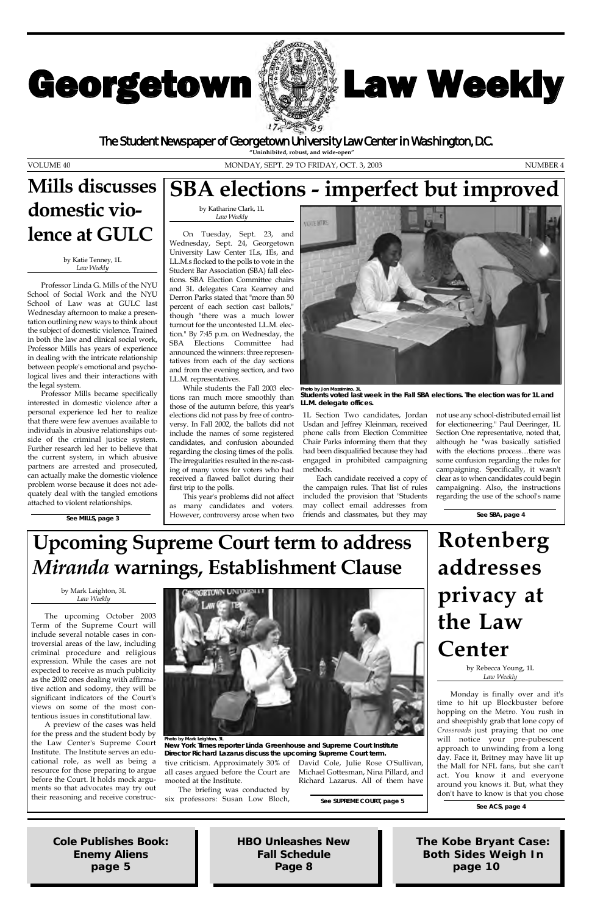# Georgetown **W**



# **Law Weekly**

by Mark Leighton, 3L *Law Weekly*

The upcoming October 2003 Term of the Supreme Court will include several notable cases in controversial areas of the law, including criminal procedure and religious expression. While the cases are not ected to receive as much publicity as the 2002 ones dealing with affirmative action and sodomy, they will be significant indicators of the Court's views on some of the most contentious issues in constitutional law. A preview of the cases was held for the press and the student body by the Law Center's Supreme Court Institute. The Institute serves an educational role, as well as being a resource for those preparing to argue before the Court. It holds mock arguments so that advocates may try out their reasoning and receive construc-



tive criticism. Approximately 30% of David Cole, Julie Rose O'Sullivan, all cases argued before the Court are Michael Gottesman, Nina Pillard, and mooted at the Institute.

The briefing was conducted by six professors: Susan Low Bloch, Richard Lazarus. All of them have

See SUPREME COURT, page 5<br>See ACS, page 4

by Rebecca Young, 1L

*Law Weekly*

Monday is finally over and it's time to hit up Blockbuster before hopping on the Metro. You rush in and sheepishly grab that lone copy of *Crossroads* just praying that no one will notice your pre-pubescent approach to unwinding from a long day. Face it, Britney may have lit up the Mall for NFL fans, but she can't act. You know it and everyone around you knows it. But, what they don't have to know is that you chose

by Katie Tenney, 1L *Law Weekly*

Professor Linda G. Mills of the NYU School of Social Work and the NYU School of Law was at GULC last Wednesday afternoon to make a presentation outlining new ways to think about the subject of domestic violence. Trained in both the law and clinical social work, Professor Mills has years of experience in dealing with the intricate relationship between people's emotional and psychological lives and their interactions with the legal system.

Professor Mills became specifically interested in domestic violence after a personal experience led her to realize that there were few avenues available to individuals in abusive relationships outside of the criminal justice system. Further research led her to believe that the current system, in which abusive partners are arrested and prosecuted, can actually make the domestic violence problem worse because it does not adequately deal with the tangled emotions attached to violent relationships.

by Katharine Clark, 1L *Law Weekly*

On Tuesday, Sept. 23, and Wednesday, Sept. 24, Georgetown University Law Center 1Ls, 1Es, and LL.M.s flocked to the polls to vote in the Student Bar Association (SBA) fall elections. SBA Election Committee chairs and 3L delegates Cara Kearney and Derron Parks stated that "more than 50 percent of each section cast ballots," though "there was a much lower turnout for the uncontested LL.M. election." By 7:45 p.m. on Wednesday, the SBA Elections Committee had announced the winners: three representatives from each of the day sections and from the evening section, and two LL.M. representatives.

While students the Fall 2003 elections ran much more smoothly than those of the autumn before, this year's elections did not pass by free of controversy. In Fall 2002, the ballots did not include the names of some registered candidates, and confusion abounded regarding the closing times of the polls. The irregularities resulted in the re-casting of many votes for voters who had received a flawed ballot during their first trip to the polls.

This year's problems did not affect as many candidates and voters. However, controversy arose when two



1L Section Two candidates, Jordan Usdan and Jeffrey Kleinman, received phone calls from Election Committee Chair Parks informing them that they had been disqualified because they had engaged in prohibited campaigning methods.

Each candidate received a copy of the campaign rules. That list of rules included the provision that "Students may collect email addresses from friends and classmates, but they may not use any school-distributed email list for electioneering." Paul Deeringer, 1L Section One representative, noted that, although he "was basically satisfied with the elections process…there was some confusion regarding the rules for campaigning. Specifically, it wasn't clear as to when candidates could begin campaigning. Also, the instructions regarding the use of the school's name

The Student Newspaper of Georgetown University Law Center in Washington, D.C.

VOLUME 40 MONDAY, SEPT. 29 TO FRIDAY, OCT. 3, 2003 NUMBER 4

*Cole Publishes Book:* **Enemy Aliens** *page 5*

*The Kobe Bryant Case: Both Sides Weigh In page 10*

*HBO Unleashes New Fall Schedule Page 8*

# **Upcoming Supreme Court term to address** *Miranda* **warnings, Establishment Clause**

**Rotenberg addresses privacy at the Law Center**

**See SBA, page 4**

**Photo by Jon Massimino, 3L Students voted last week in the Fall SBA elections. The election was for 1L and LL.M. delegate offices.** 

## **Mills discusses domestic violence at GULC**

**See MILLS, page 3**

**Photo by Mark Leighton, 3L** *New York Times* **reporter Linda Greenhouse and Supreme Court Institute Director Richard Lazarus discuss the upcoming Supreme Court term.**

## **SBA elections - imperfect but improved**

**"Uninhibited, robust, and wide-open"**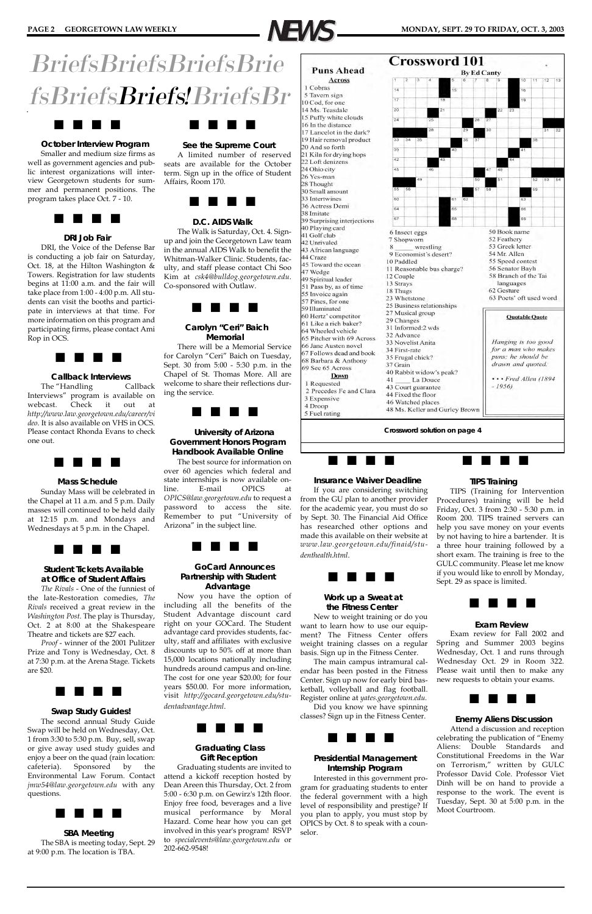

# BriefsBriefsBriefsBrie fsBriefsBriefs!BriefsBr



#### **October Interview Program**

Smaller and medium size firms as well as government agencies and public interest organizations will interview Georgetown students for summer and permanent positions. The program takes place Oct. 7 - 10.



#### **DRI Job Fair**

DRI, the Voice of the Defense Bar is conducting a job fair on Saturday, Oct. 18, at the Hilton Washington & Towers. Registration for law students begins at 11:00 a.m. and the fair will take place from 1:00 - 4:00 p.m. All students can visit the booths and participate in interviews at that time. For more information on this program and participating firms, please contact Ami Rop in OCS.



#### **Callback Interviews**

The "Handling Callback Interviews" program is available on webcast. Check it out at *http://www.law.georgetown.edu/career/vi deo*. It is also available on VHS in OCS. Please contact Rhonda Evans to check one out.



#### **Mass Schedule**

Sunday Mass will be celebrated in the Chapel at 11 a.m. and 5 p.m. Daily masses will continued to be held daily at 12:15 p.m. and Mondays and Wednesdays at 5 p.m. in the Chapel.



#### **Student Tickets Available at Office of Student Affairs**

*The Rivals* - One of the funniest of the late-Restoration comedies, *The Rivals* received a great review in the *Washington Post*. The play is Thursday, Oct. 2 at 8:00 at the Shakespeare Theatre and tickets are \$27 each.

*Proof* - winner of the 2001 Pulitzer Prize and Tony is Wednesday, Oct. 8 at 7:30 p.m. at the Arena Stage. Tickets are \$20.

### J J J J

#### **Swap Study Guides!**

The second annual Study Guide Swap will be held on Wednesday, Oct. 1 from 3:30 to 5:30 p.m. Buy, sell, swap or give away used study guides and enjoy a beer on the quad (rain location: cafeteria). Sponsored by the Environmental Law Forum. Contact *jmw54@law.georgetown.edu* with any questions.



**SBA Meeting** The SBA is meeting today, Sept. 29 at 9:00 p.m. The location is TBA.

### J J J J

#### **See the Supreme Court**

A limited number of reserved seats are available for the October term. Sign up in the office of Student Affairs, Room 170.



#### **D.C. AIDS Walk**

The Walk is Saturday, Oct. 4. Signup and join the Georgetown Law team in the annual AIDS Walk to benefit the Whitman-Walker Clinic. Students, faculty, and staff please contact Chi Soo Kim at *csk4@bulldog.georgetown.edu*. Co-sponsored with Outlaw.



#### **Carolyn "Ceri" Baich Memorial**

There will be a Memorial Service for Carolyn "Ceri" Baich on Tuesday, Sept. 30 from 5:00 - 5:30 p.m. in the Chapel of St. Thomas More. All are welcome to share their reflections during the service.



#### **University of Arizona Government Honors Program Handbook Available Online**

The best source for information on over 60 agencies which federal and state internships is now available online. E-mail OPICS at *OPICS@law.georgetown.edu* to request a password to access the site. Remember to put "University of Arizona" in the subject line.



#### **GoCard Announces Partnership with Student Advantage**

Now you have the option of including all the benefits of the Student Advantage discount card right on your GOCard. The Student advantage card provides students, faculty, staff and affiliates with exclusive discounts up to 50% off at more than 15,000 locations nationally including hundreds around campus and on-line. The cost for one year \$20.00; for four years \$50.00. For more information, visit *http://gocard.georgetown.edu/studentadvantage.html*.



#### **Graduating Class Gift Reception**

Graduating students are invited to attend a kickoff reception hosted by Dean Areen this Thursday, Oct. 2 from 5:00 - 6:30 p.m. on Gewirz's 12th floor. Enjoy free food, beverages and a live musical performance by Moral Hazard. Come hear how you can get involved in this year's program! RSVP to *specialevents@law.georgetown.edu* or 202-662-9548!

J J J J

#### **Insurance Waiver Deadline**

If you are considering switching from the GU plan to another provider for the academic year, you must do so by Sept. 30. The Financial Aid Office has researched other options and made this available on their website at *www.law.georgetown.edu/finaid/studenthealth.html*.



#### **Work up a Sweat at the Fitness Center**

New to weight training or do you want to learn how to use our equipment? The Fitness Center offers weight training classes on a regular basis. Sign up in the Fitness Center.

The main campus intramural calendar has been posted in the Fitness Center. Sign up now for early bird basketball, volleyball and flag football. Register online at *yates.georgetown.edu.* Did you know we have spinning classes? Sign up in the Fitness Center.



#### **Presidential Management Internship Program**

Interested in this government program for graduating students to enter the federal government with a high level of responsibility and prestige? If you plan to apply, you must stop by OPICS by Oct. 8 to speak with a counselor.

J J J J

#### **TIPS Training**

TIPS (Training for Intervention Procedures) training will be held Friday, Oct. 3 from 2:30 - 5:30 p.m. in Room 200. TIPS trained servers can help you save money on your events by not having to hire a bartender. It is a three hour training followed by a short exam. The training is free to the GULC community. Please let me know if you would like to enroll by Monday, Sept. 29 as space is limited.



#### **Exam Review**

Exam review for Fall 2002 and Spring and Summer 2003 begins Wednesday, Oct. 1 and runs through Wednesday Oct. 29 in Room 322. Please wait until then to make any new requests to obtain your exams.



#### **Enemy Aliens Discussion**

Attend a discussion and reception celebrating the publication of "Enemy Aliens: Double Standards and Constitutional Freedoms in the War on Terrorism," written by GULC Professor David Cole. Professor Viet Dinh will be on hand to provide a response to the work. The event is Tuesday, Sept. 30 at 5:00 p.m. in the Moot Courtroom.

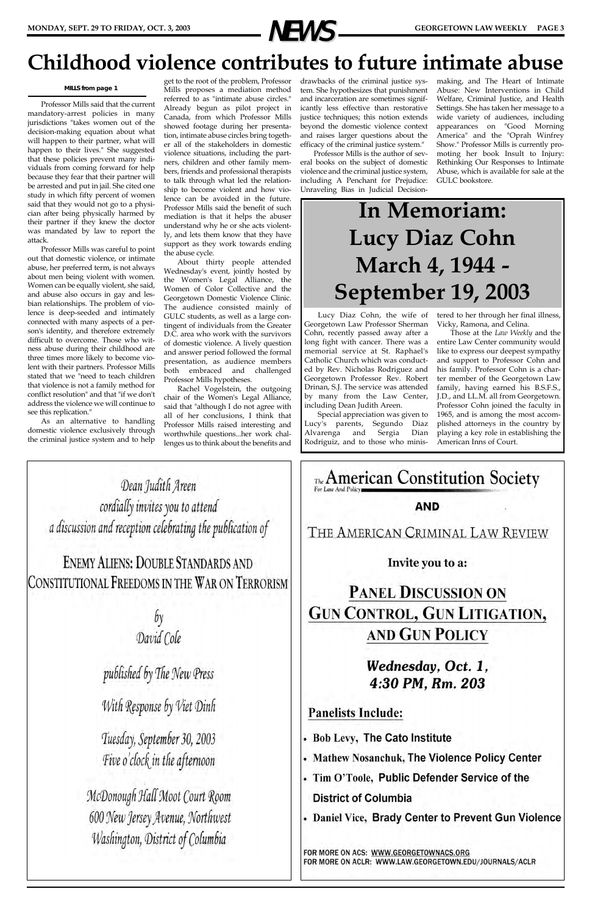Professor Mills said that the current mandatory-arrest policies in many jurisdictions "takes women out of the decision-making equation about what will happen to their partner, what will happen to their lives." She suggested that these policies prevent many individuals from coming forward for help because they fear that their partner will be arrested and put in jail. She cited one study in which fifty percent of women said that they would not go to a physician after being physically harmed by their partner if they knew the doctor was mandated by law to report the attack.

Professor Mills was careful to point out that domestic violence, or intimate abuse, her preferred term, is not always about men being violent with women. Women can be equally violent, she said, and abuse also occurs in gay and lesbian relationships. The problem of violence is deep-seeded and intimately connected with many aspects of a person's identity, and therefore extremely difficult to overcome. Those who witness abuse during their childhood are three times more likely to become violent with their partners. Professor Mills stated that we "need to teach children that violence is not a family method for conflict resolution" and that "if we don't address the violence we will continue to see this replication."

As an alternative to handling domestic violence exclusively through the criminal justice system and to help

get to the root of the problem, Professor Mills proposes a mediation method referred to as "intimate abuse circles." Already begun as pilot project in Canada, from which Professor Mills showed footage during her presentation, intimate abuse circles bring together all of the stakeholders in domestic violence situations, including the partners, children and other family members, friends and professional therapists to talk through what led the relationship to become violent and how violence can be avoided in the future. Professor Mills said the benefit of such mediation is that it helps the abuser understand why he or she acts violently, and lets them know that they have support as they work towards ending the abuse cycle.

About thirty people attended Wednesday's event, jointly hosted by the Women's Legal Alliance, the Women of Color Collective and the Georgetown Domestic Violence Clinic. The audience consisted mainly of GULC students, as well as a large contingent of individuals from the Greater D.C. area who work with the survivors of domestic violence. A lively question and answer period followed the formal presentation, as audience members both embraced and challenged Professor Mills hypotheses.

Rachel Vogelstein, the outgoing chair of the Women's Legal Alliance, said that "although I do not agree with all of her conclusions, I think that Professor Mills raised interesting and worthwhile questions...her work challenges us to think about the benefits and drawbacks of the criminal justice system. She hypothesizes that punishment and incarceration are sometimes significantly less effective than restorative justice techniques; this notion extends beyond the domestic violence context and raises larger questions about the efficacy of the criminal justice system."

Professor Mills is the author of several books on the subject of domestic violence and the criminal justice system, including A Penchant for Prejudice: Unraveling Bias in Judicial Decision-

making, and The Heart of Intimate Abuse: New Interventions in Child Welfare, Criminal Justice, and Health Settings. She has taken her message to a wide variety of audiences, including appearances on "Good Morning America" and the "Oprah Winfrey Show." Professor Mills is currently promoting her book Insult to Injury: Rethinking Our Responses to Intimate Abuse, which is available for sale at the GULC bookstore.



## **Childhood violence contributes to future intimate abuse**

**MILLS from page 1**

Lucy Diaz Cohn, the wife of Georgetown Law Professor Sherman Cohn, recently passed away after a long fight with cancer. There was a memorial service at St. Raphael's Catholic Church which was conducted by Rev. Nicholas Rodriguez and Georgetown Professor Rev. Robert Drinan, S.J. The service was attended by many from the Law Center, including Dean Judith Areen.

Special appreciation was given to Lucy's parents, Segundo Diaz Alvarenga and Sergia Dian Rodriguiz, and to those who ministered to her through her final illness, Vicky, Ramona, and Celina.

Those at the *Law Weekly* and the entire Law Center community would like to express our deepest sympathy and support to Professor Cohn and his family. Professor Cohn is a charter member of the Georgetown Law family, having earned his B.S.F.S., J.D., and LL.M. all from Georgetown. Professor Cohn joined the faculty in 1965, and is among the most accomplished attorneys in the country by playing a key role in establishing the American Inns of Court.

Dean Judith Areen cordially invites you to attend a discussion and reception celebrating the publication of

**ENEMY ALIENS: DOUBLE STANDARDS AND** CONSTITUTIONAL FREEDOMS IN THE WAR ON TERRORISM

> $by$ David Cole



### published by The New Press

With Response by Viet Dinh

Tuesday, September 30, 2003 Five o'clock in the afternoon

McDonough Hall Moot Court Room 600 New Jersey Avenue, Northwest Washington, District of Columbia

### 4:30 PM, Rm. 203

### **Panelists Include:**

- . Bob Levy, The Cato Institute
- **Mathew Nosanchuk, The Violence Policy Center**
- Tim O'Toole, Public Defender Service of the **District of Columbia**
- Daniel Vice, Brady Center to Prevent Gun Violence

FOR MORE ON ACS: WWW.GEORGETOWNACS.ORG FOR MORE ON ACLR: WWW.LAW.GEORGETOWN.EDU/JOURNALS/ACLR

# **In Memoriam: Lucy Diaz Cohn March 4, 1944 - September 19, 2003**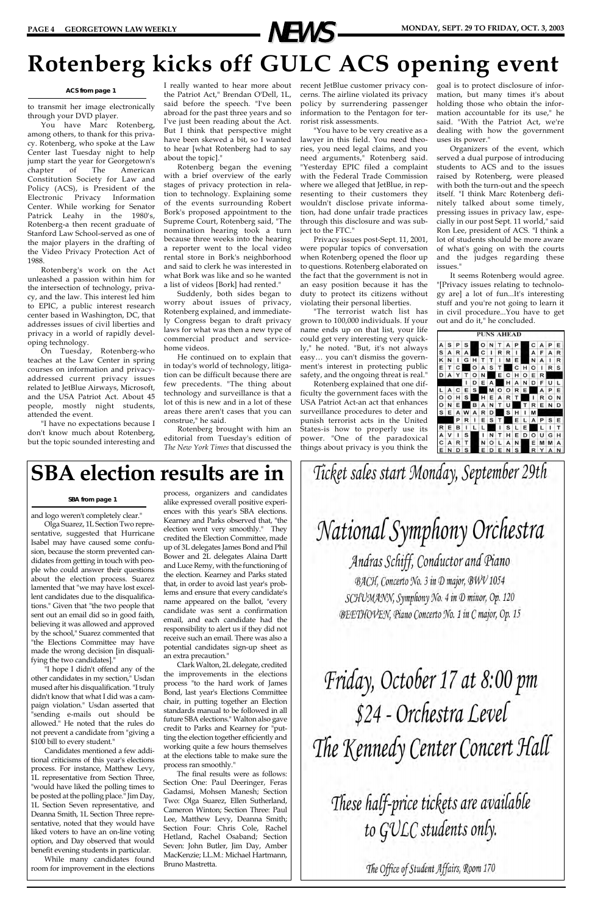to transmit her image electronically through your DVD player.

You have Marc Rotenberg, among others, to thank for this privacy. Rotenberg, who spoke at the Law Center last Tuesday night to help jump start the year for Georgetown's chapter of The American Constitution Society for Law and Policy (ACS), is President of the Electronic Privacy Information Center. While working for Senator Patrick Leahy in the 1980's, Rotenberg-a then recent graduate of Stanford Law School-served as one of the major players in the drafting of the Video Privacy Protection Act of 1988.

Rotenberg's work on the Act unleashed a passion within him for the intersection of technology, privacy, and the law. This interest led him to EPIC, a public interest research center based in Washington, DC, that addresses issues of civil liberties and privacy in a world of rapidly developing technology.

I really wanted to hear more about recent JetBlue customer privacy conthe Patriot Act," Brendan O'Dell, 1L, said before the speech. "I've been abroad for the past three years and so I've just been reading about the Act. But I think that perspective might have been skewed a bit, so I wanted to hear [what Rotenberg had to say about the topic]."

On Tuesday, Rotenberg-who teaches at the Law Center in spring courses on information and privacyaddressed current privacy issues related to JetBlue Airways, Microsoft, and the USA Patriot Act. About 45 people, mostly night students, attended the event.

"I have no expectations because I don't know much about Rotenberg, but the topic sounded interesting and

Rotenberg began the evening with a brief overview of the early stages of privacy protection in relation to technology. Explaining some of the events surrounding Robert Bork's proposed appointment to the Supreme Court, Rotenberg said, "The nomination hearing took a turn because three weeks into the hearing a reporter went to the local video rental store in Bork's neighborhood and said to clerk he was interested in what Bork was like and so he wanted a list of videos [Bork] had rented."

Suddenly, both sides began to worry about issues of privacy, Rotenberg explained, and immediately Congress began to draft privacy laws for what was then a new type of commercial product and servicehome videos.

He continued on to explain that in today's world of technology, litigation can be difficult because there are few precedents. "The thing about technology and surveillance is that a lot of this is new and in a lot of these areas there aren't cases that you can construe," he said.

Rotenberg brought with him an editorial from Tuesday's edition of *The New York Times* that discussed the

cerns. The airline violated its privacy policy by surrendering passenger information to the Pentagon for terrorist risk assessments.

"You have to be very creative as a lawyer in this field. You need theories, you need legal claims, and you need arguments," Rotenberg said. "Yesterday EPIC filed a complaint with the Federal Trade Commission where we alleged that JetBlue, in representing to their customers they wouldn't disclose private information, had done unfair trade practices through this disclosure and was subject to the FTC."

Privacy issues post-Sept. 11, 2001, were popular topics of conversation when Rotenberg opened the floor up to questions. Rotenberg elaborated on the fact that the government is not in an easy position because it has the duty to protect its citizens without violating their personal liberties.

"The terrorist watch list has grown to 100,000 individuals. If your name ends up on that list, your life could get very interesting very quickly," he noted. "But, it's not always easy… you can't dismiss the government's interest in protecting public safety, and the ongoing threat is real."

Rotenberg explained that one difficulty the government faces with the USA Patriot Act-an act that enhances surveillance procedures to deter and punish terrorist acts in the United States-is how to properly use its power. "One of the paradoxical things about privacy is you think the goal is to protect disclosure of information, but many times it's about holding those who obtain the information accountable for its use," he said. "With the Patriot Act, we're dealing with how the government uses its power."

Organizers of the event, which served a dual purpose of introducing students to ACS and to the issues raised by Rotenberg, were pleased with both the turn-out and the speech itself. "I think Marc Rotenberg definitely talked about some timely, pressing issues in privacy law, especially in our post Sept. 11 world," said Ron Lee, president of ACS. "I think a lot of students should be more aware of what's going on with the courts and the judges regarding these issues."

It seems Rotenberg would agree. "[Privacy issues relating to technology are] a lot of fun...It's interesting stuff and you're not going to learn it in civil procedure...You have to get out and do it," he concluded.

|          |   |   |   |   |   |   |   | <b>PUNS AHEAD</b> |   |   |   |   |   |   |
|----------|---|---|---|---|---|---|---|-------------------|---|---|---|---|---|---|
| А        | s | Р | s |   | ο | N |   | А                 | P |   | c | А | Ρ | Ε |
| S        | А | R | А |   | с | ı | R | R                 | л |   | А | F | A | R |
| K        | N |   | G | н | т | т | ı | M                 | E |   | N | А | ı | R |
| E        | т | с |   | o | А | s | т |                   | c | н | о | 1 | R | s |
| D        | А | Y | т | о | N |   | Е | с                 | н | о | E | R |   |   |
|          |   |   | ı | D | Ε | А |   | н                 | А | N | D | F | U | г |
|          | А | с | Е | s |   | М | o | o                 | R | Е |   | А | P | Ε |
| $\circ$  | о | н | s |   | н | E | А | R                 | т |   | I | R | о | N |
| $\circ$  | N | Ε |   | в | А | N | т | U                 |   | т | R | E | N | D |
| <b>S</b> | Ε | А | w | А | R | D |   | s                 | н | ı | М |   |   |   |
|          |   | Р | R | ı | E | s | т |                   | E | L | A | P | s | Ε |
| R        | Ε | в | ι | L | L |   | ı | s                 | L | Е |   | L | ı | т |
| A        | v | ı | s |   | ı | N | т | н                 | E | D | o | U | G | н |
| c        | A | R | т |   | N | o | L | А                 | N |   | Е | М | M | А |
| E        | N | D | s |   | E | D | E | N                 | s |   | R |   | А | N |



# **Rotenberg kicks off GULC ACS opening event**

— NEWS—

#### **ACS from page 1**

and logo weren't completely clear."

Olga Suarez, 1L Section Two representative, suggested that Hurricane Isabel may have caused some confusion, because the storm prevented candidates from getting in touch with people who could answer their questions about the election process. Suarez lamented that "we may have lost excellent candidates due to the disqualifications." Given that "the two people that sent out an email did so in good faith, believing it was allowed and approved by the school," Suarez commented that "the Elections Committee may have made the wrong decision [in disqualifying the two candidates]."

"I hope I didn't offend any of the

other candidates in my section," Usdan mused after his disqualification. "I truly didn't know that what I did was a campaign violation." Usdan asserted that "sending e-mails out should be allowed." He noted that the rules do not prevent a candidate from "giving a \$100 bill to every student."

Candidates mentioned a few additional criticisms of this year's elections process. For instance, Matthew Levy, 1L representative from Section Three, "would have liked the polling times to be posted at the polling place." Jim Day, 1L Section Seven representative, and Deanna Smith, 1L Section Three representative, noted that they would have liked voters to have an on-line voting option, and Day observed that would benefit evening students in particular.

While many candidates found room for improvement in the elections process, organizers and candidates alike expressed overall positive experiences with this year's SBA elections. Kearney and Parks observed that, "the election went very smoothly." They credited the Election Committee, made up of 3L delegates James Bond and Phil Bower and 2L delegates Alaina Dartt and Luce Remy, with the functioning of the election. Kearney and Parks stated that, in order to avoid last year's problems and ensure that every candidate's name appeared on the ballot, "every candidate was sent a confirmation email, and each candidate had the responsibility to alert us if they did not receive such an email. There was also a potential candidates sign-up sheet as an extra precaution."

Clark Walton, 2L delegate, credited

Ticket sales start Monday, September 29th

National Symphony Orchestra

Andras Schiff, Conductor and Piano BACH, Concerto No. 3 in D major, BWV 1054 SCHUMANN, Symphony No. 4 in D minor, Op. 120 BEETHOVEN, Piano Concerto No. 1 in C major, Op. 15

the improvements in the elections process "to the hard work of James Bond, last year's Elections Committee chair, in putting together an Election standards manual to be followed in all future SBA elections." Walton also gave credit to Parks and Kearney for "putting the election together efficiently and working quite a few hours themselves at the elections table to make sure the process ran smoothly."

The final results were as follows: Section One: Paul Deeringer, Feras Gadamsi, Mohsen Manesh; Section Two: Olga Suarez, Ellen Sutherland, Cameron Winton; Section Three: Paul Lee, Matthew Levy, Deanna Smith; Section Four: Chris Cole, Rachel Hetland, Rachel Osaband; Section Seven: John Butler, Jim Day, Amber MacKenzie; LL.M.: Michael Hartmann, Bruno Mastretta.

Friday, October 17 at 8:00 pm \$24 - Orchestra Level The Kennedy Center Concert Hall

# These half-price tickets are available to GULC students only.

The Office of Student Affairs, Room 170

## **SBA election results are in**

#### **SBA from page 1**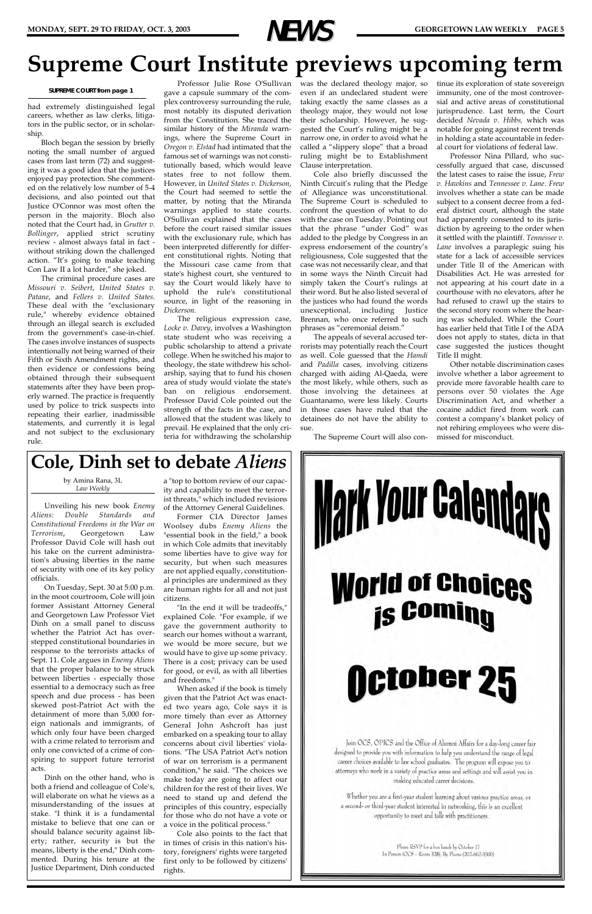had extremely distinguished legal careers, whether as law clerks, litigators in the public sector, or in scholarship.

Bloch began the session by briefly noting the small number of argued cases from last term (72) and suggesting it was a good idea that the justices enjoyed pay protection. She commented on the relatively low number of 5-4 decisions, and also pointed out that Justice O'Connor was most often the person in the majority. Bloch also noted that the Court had, in *Grutter v. Bollinger*, applied strict scrutiny review - almost always fatal in fact without striking down the challenged action. "It's going to make teaching Con Law II a lot harder," she joked.

The criminal procedure cases are *Missouri v. Seibert*, *United States v. Patane*, and *Fellers v. United States*. These deal with the "exclusionary rule," whereby evidence obtained through an illegal search is excluded from the government's case-in-chief. The cases involve instances of suspects intentionally not being warned of their Fifth or Sixth Amendment rights, and then evidence or confessions being obtained through their subsequent statements after they have been properly warned. The practice is frequently used by police to trick suspects into repeating their earlier, inadmissible statements, and currently it is legal and not subject to the exclusionary rule.

gave a capsule summary of the complex controversy surrounding the rule, most notably its disputed derivation from the Constitution. She traced the similar history of the *Miranda* warnings, where the Supreme Court in *Oregon v. Elstad* had intimated that the famous set of warnings was not constitutionally based, which would leave states free to not follow them. However, in *United States v. Dickerson*, the Court had seemed to settle the matter, by noting that the Miranda warnings applied to state courts. O'Sullivan explained that the cases before the court raised similar issues with the exclusionary rule, which has been interpreted differently for different constitutional rights. Noting that the Missouri case came from that state's highest court, she ventured to say the Court would likely have to uphold the rule's constitutional source, in light of the reasoning in *Dickerson.*

Professor Julie Rose O'Sullivan was the declared theology major, so even if an undeclared student were taking exactly the same classes as a theology major, they would not lose their scholarship. However, he suggested the Court's ruling might be a narrow one, in order to avoid what he called a "slippery slope" that a broad ruling might be to Establishment Clause interpretation.

The religious expression case, *Locke v. Davey*, involves a Washington state student who was receiving a public scholarship to attend a private college. When he switched his major to theology, the state withdrew his scholarship, saying that to fund his chosen area of study would violate the state's ban on religious endorsement. Professor David Cole pointed out the strength of the facts in the case, and allowed that the student was likely to prevail. He explained that the only criteria for withdrawing the scholarship

Cole also briefly discussed the Ninth Circuit's ruling that the Pledge of Allegiance was unconstitutional. The Supreme Court is scheduled to confront the question of what to do with the case on Tuesday. Pointing out that the phrase "under God" was added to the pledge by Congress in an express endorsement of the country's religiousness, Cole suggested that the case was not necessarily clear, and that in some ways the Ninth Circuit had simply taken the Court's rulings at their word. But he also listed several of the justices who had found the words unexceptional, including Justice Brennan, who once referred to such phrases as "ceremonial deism."

The appeals of several accused terrorists may potentially reach the Court as well. Cole guessed that the *Hamdi* and *Padilla* cases, involving citizens charged with aiding Al-Qaeda, were the most likely, while others, such as those involving the detainees at Guantanamo, were less likely. Courts in those cases have ruled that the detainees do not have the ability to sue.

The Supreme Court will also con-

tinue its exploration of state sovereign immunity, one of the most controversial and active areas of constitutional jurisprudence. Last term, the Court decided *Nevada v. Hibbs,* which was notable for going against recent trends in holding a state accountable in federal court for violations of federal law.

Professor Nina Pillard, who successfully argued that case, discussed the latest cases to raise the issue, *Frew v. Hawkins* and *Tennessee v. Lane*. *Frew* involves whether a state can be made subject to a consent decree from a federal district court, although the state had apparently consented to its jurisdiction by agreeing to the order when it settled with the plaintiff. *Tennessee v. Lane* involves a paraplegic suing his state for a lack of accessible services under Title II of the American with Disabilities Act. He was arrested for not appearing at his court date in a courthouse with no elevators, after he had refused to crawl up the stairs to the second story room where the hearing was scheduled. While the Court has earlier held that Title I of the ADA does not apply to states, dicta in that case suggested the justices thought Title II might.

Other notable discrimination cases involve whether a labor agreement to provide more favorable health care to persons over 50 violates the Age Discrimination Act, and whether a cocaine addict fired from work can contest a company's blanket policy of not rehiring employees who were dismissed for misconduct.

# **Supreme Court Institute previews upcoming term**



#### by Amina Rana, 3L *Law Weekly*

Unveiling his new book *Enemy Aliens: Double Standards and Constitutional Freedoms in the War on Terrorism*, Georgetown Law Professor David Cole will hash out his take on the current administration's abusing liberties in the name of security with one of its key policy officials.

On Tuesday, Sept. 30 at 5:00 p.m. in the moot courtroom, Cole will join former Assistant Attorney General and Georgetown Law Professor Viet Dinh on a small panel to discuss whether the Patriot Act has overstepped constitutional boundaries in response to the terrorists attacks of Sept. 11. Cole argues in *Enemy Aliens* that the proper balance to be struck between liberties - especially those essential to a democracy such as free speech and due process - has been skewed post-Patriot Act with the detainment of more than 5,000 foreign nationals and immigrants, of which only four have been charged with a crime related to terrorism and only one convicted of a crime of conspiring to support future terrorist acts. Dinh on the other hand, who is both a friend and colleague of Cole's, will elaborate on what he views as a misunderstanding of the issues at stake. "I think it is a fundamental mistake to believe that one can or should balance security against liberty; rather, security is but the means, liberty is the end," Dinh commented. During his tenure at the Justice Department, Dinh conducted

a "top to bottom review of our capacity and capability to meet the terrorist threats," which included revisions of the Attorney General Guidelines.

Former CIA Director James Woolsey dubs *Enemy Aliens* the "essential book in the field," a book in which Cole admits that inevitably some liberties have to give way for security, but when such measures are not applied equally, constitutional principles are undermined as they are human rights for all and not just citizens.

"In the end it will be tradeoffs," explained Cole. "For example, if we gave the government authority to search our homes without a warrant, we would be more secure, but we would have to give up some privacy. There is a cost; privacy can be used for good, or evil, as with all liberties and freedoms."



When asked if the book is timely given that the Patriot Act was enacted two years ago, Cole says it is more timely than ever as Attorney General John Ashcroft has just embarked on a speaking tour to allay concerns about civil liberties' violations. "The USA Patriot Act's notion of war on terrorism is a permanent condition," he said. "The choices we make today are going to affect our children for the rest of their lives. We need to stand up and defend the principles of this country, especially for those who do not have a vote or a voice in the political process."

Cole also points to the fact that in times of crisis in this nation's history, foreigners' rights were targeted first only to be followed by citizens' rights.

#### Del U U

Join OCS, OPICS and the Office of Alumni Affairs for a day-long career fair designed to provide you with information to help you understand the range of legal career choices available to law school graduates. The program will expose you to attorneys who work in a variety of practice areas and settings and will assist you in making educated career decisions.

Whether you are a first-year student learning about various practice areas, or a second- or third-year student interested in networking, this is an excellent opportunity to meet and talk with practitioners.

> Please RSVP for a box lunch by October 17 In Person (OCS - Room 328), By Phone (202-662-9300)

### **Cole, Dinh set to debate** *Aliens*

#### **SUPREME COURT from page 1**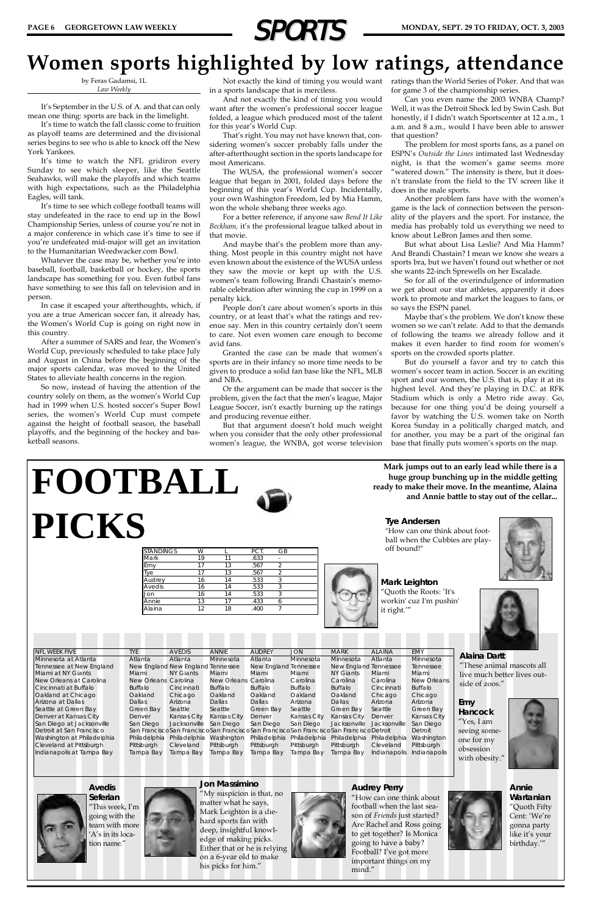

**Mark Leighton** "Quoth the Roots: 'It's workin' cuz I'm pushin'

it right.'"





**Mark jumps out to an early lead while there is a huge group bunching up in the middle getting ready to make their move. In the meantime, Alaina and Annie battle to stay out of the cellar...**

NFL WEEK FIVE TYE AVEDIS ANNIE AUDREY JON MARK ALAINA EMY Minnesota at Atlanta Atlanta Atlanta Minnesota Atlanta Minnesota Minnesota Atlanta Minnesota

**Tye Andersen** "How can one think about football when the Cubbies are playoff bound!"



| FOOTBALL |                  |    |    |      |                |  |
|----------|------------------|----|----|------|----------------|--|
| PICKS    |                  |    |    |      |                |  |
|          | <b>STANDINGS</b> | W  |    | PCT. | GB             |  |
|          | Mark             | 19 | 11 | .633 | $\sim$         |  |
|          | Emy              | 17 | 13 | .567 | 2              |  |
|          | Tye              | 17 | 13 | .567 | $\overline{2}$ |  |
|          | Audrey           | 16 | 14 | .533 | 3              |  |
|          | Avedis           | 16 | 14 | .533 | $\overline{3}$ |  |
|          | Jon              | 16 | 14 | .533 | 3              |  |
|          |                  |    | 17 | .433 | 6              |  |
|          | Annie            | 13 |    |      |                |  |

**Alaina Dartt** "These animal mascots all

## **Women sports highlighted by low ratings, attendance**

by Feras Gadamsi, 1L *Law Weekly*

It's September in the U.S. of A. and that can only mean one thing: sports are back in the limelight.

It's time to watch the fall classic come to fruition as playoff teams are determined and the divisional series begins to see who is able to knock off the New York Yankees.

Not exactly the kind of timing you would want ratings than the World Series of Poker. And that was for game 3 of the championship series.

It's time to watch the NFL gridiron every Sunday to see which sleeper, like the Seattle Seahawks, will make the playoffs and which teams with high expectations, such as the Philadelphia Eagles, will tank.

It's time to see which college football teams will stay undefeated in the race to end up in the Bowl Championship Series, unless of course you're not in a major conference in which case it's time to see if you're undefeated mid-major will get an invitation to the Humanitarian Weedwacker.com Bowl.

Whatever the case may be, whether you're into baseball, football, basketball or hockey, the sports landscape has something for you. Even futbol fans have something to see this fall on television and in person.

In case it escaped your afterthoughts, which, if you are a true American soccer fan, it already has, the Women's World Cup is going on right now in this country.

After a summer of SARS and fear, the Women's World Cup, previously scheduled to take place July and August in China before the beginning of the major sports calendar, was moved to the United States to alleviate health concerns in the region.

So now, instead of having the attention of the country solely on them, as the women's World Cup had in 1999 when U.S. hosted soccer's Super Bowl series, the women's World Cup must compete against the height of football season, the baseball playoffs, and the beginning of the hockey and basketball seasons.

in a sports landscape that is merciless.

And not exactly the kind of timing you would want after the women's professional soccer league folded, a league which produced most of the talent for this year's World Cup.

That's right. You may not have known that, considering women's soccer probably falls under the after-afterthought section in the sports landscape for most Americans.

The WUSA, the professional women's soccer league that began in 2001, folded days before the beginning of this year's World Cup. Incidentally, your own Washington Freedom, led by Mia Hamm, won the whole shebang three weeks ago.

For a better reference, if anyone saw *Bend It Like Beckham,* it's the professional league talked about in that movie.

And maybe that's the problem more than anything. Most people in this country might not have even known about the existence of the WUSA unless they saw the movie or kept up with the U.S. women's team following Brandi Chastain's memorable celebration after winning the cup in 1999 on a penalty kick.

People don't care about women's sports in this country, or at least that's what the ratings and revenue say. Men in this country certainly don't seem to care. Not even women care enough to become avid fans.

Granted the case can be made that women's sports are in their infancy so more time needs to be given to produce a solid fan base like the NFL, MLB and NBA.

Or the argument can be made that soccer is the problem, given the fact that the men's league, Major League Soccer, isn't exactly burning up the ratings and producing revenue either.

But that argument doesn't hold much weight when you consider that the only other professional women's league, the WNBA, got worse television

Can you even name the 2003 WNBA Champ? Well, it was the Detroit Shock led by Swin Cash. But honestly, if I didn't watch Sportscenter at 12 a.m., 1 a.m. and 8 a.m., would I have been able to answer that question?

The problem for most sports fans, as a panel on ESPN's *Outside the Lines* intimated last Wednesday night, is that the women's game seems more "watered down." The intensity is there, but it doesn't translate from the field to the TV screen like it does in the male sports.

Another problem fans have with the women's game is the lack of connection between the personality of the players and the sport. For instance, the media has probably told us everything we need to know about LeBron James and then some.

But what about Lisa Leslie? And Mia Hamm? And Brandi Chastain? I mean we know she wears a sports bra, but we haven't found out whether or not she wants 22-inch Sprewells on her Escalade.

So for all of the overindulgence of information we get about our star athletes, apparently it does work to promote and market the leagues to fans, or so says the ESPN panel.

Maybe that's the problem. We don't know these women so we can't relate. Add to that the demands of following the teams we already follow and it makes it even harder to find room for women's sports on the crowded sports platter.

But do yourself a favor and try to catch this women's soccer team in action. Soccer is an exciting sport and our women, the U.S. that is, play it at its highest level. And they're playing in D.C. at RFK Stadium which is only a Metro ride away. Go, because for one thing you'd be doing yourself a favor by watching the U.S. women take on North Korea Sunday in a politically charged match, and for another, you may be a part of the original fan base that finally puts women's sports on the map.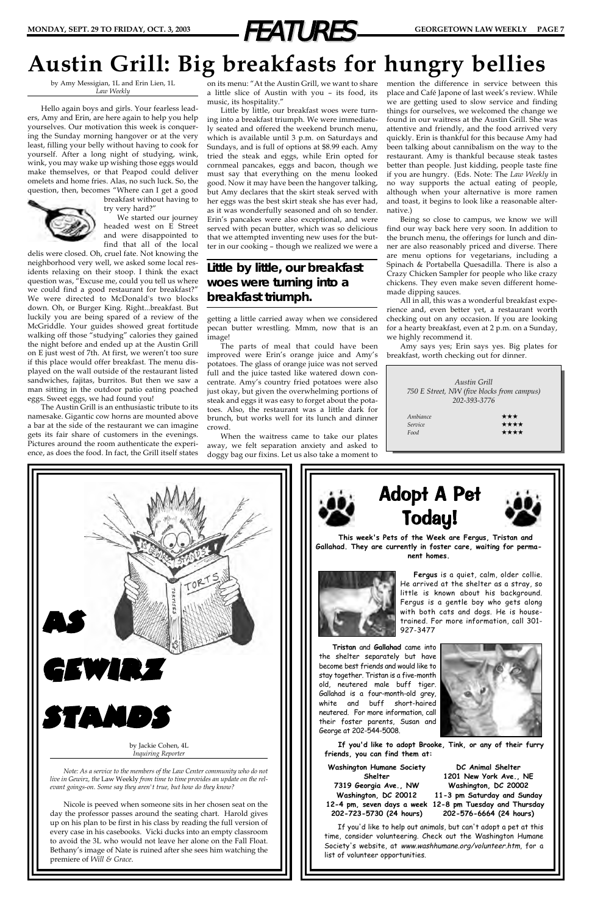

# **Austin Grill: Big breakfasts for hungry bellies**

by Amy Messigian, 1L and Erin Lien, 1L *Law Weekly*

Hello again boys and girls. Your fearless leaders, Amy and Erin, are here again to help you help yourselves. Our motivation this week is conquering the Sunday morning hangover or at the very least, filling your belly without having to cook for yourself. After a long night of studying, wink, wink, you may wake up wishing those eggs would make themselves, or that Peapod could deliver omelets and home fries. Alas, no such luck. So, the question, then, becomes "Where can I get a good



breakfast without having to try very hard?"

We started our journey headed west on E Street and were disappointed to find that all of the local

delis were closed. Oh, cruel fate. Not knowing the neighborhood very well, we asked some local residents relaxing on their stoop. I think the exact question was, "Excuse me, could you tell us where we could find a good restaurant for breakfast?" We were directed to McDonald's two blocks down. Oh, or Burger King. Right...breakfast. But luckily you are being spared of a review of the McGriddle. Your guides showed great fortitude walking off those "studying" calories they gained the night before and ended up at the Austin Grill on E just west of 7th. At first, we weren't too sure if this place would offer breakfast. The menu displayed on the wall outside of the restaurant listed sandwiches, fajitas, burritos. But then we saw a man sitting in the outdoor patio eating poached eggs. Sweet eggs, we had found you!

The Austin Grill is an enthusiastic tribute to its namesake. Gigantic cow horns are mounted above a bar at the side of the restaurant we can imagine gets its fair share of customers in the evenings. Pictures around the room authenticate the experience, as does the food. In fact, the Grill itself states

on its menu: "At the Austin Grill, we want to share a little slice of Austin with you – its food, its music, its hospitality."

Little by little, our breakfast woes were turning into a breakfast triumph. We were immediately seated and offered the weekend brunch menu, which is available until 3 p.m. on Saturdays and Sundays, and is full of options at \$8.99 each. Amy tried the steak and eggs, while Erin opted for cornmeal pancakes, eggs and bacon, though we must say that everything on the menu looked good. Now it may have been the hangover talking, but Amy declares that the skirt steak served with her eggs was the best skirt steak she has ever had, as it was wonderfully seasoned and oh so tender. Erin's pancakes were also exceptional, and were served with pecan butter, which was so delicious that we attempted inventing new uses for the butter in our cooking – though we realized we were a

getting a little carried away when we considered pecan butter wrestling. Mmm, now that is an image!

The parts of meal that could have been improved were Erin's orange juice and Amy's potatoes. The glass of orange juice was not served full and the juice tasted like watered down concentrate. Amy's country fried potatoes were also just okay, but given the overwhelming portions of steak and eggs it was easy to forget about the potatoes. Also, the restaurant was a little dark for brunch, but works well for its lunch and dinner crowd.

When the waitress came to take our plates away, we felt separation anxiety and asked to doggy bag our fixins. Let us also take a moment to mention the difference in service between this place and Café Japone of last week's review. While we are getting used to slow service and finding things for ourselves, we welcomed the change we found in our waitress at the Austin Grill. She was attentive and friendly, and the food arrived very quickly. Erin is thankful for this because Amy had been talking about cannibalism on the way to the restaurant. Amy is thankful because steak tastes better than people. Just kidding, people taste fine if you are hungry. (Eds. Note: The *Law Weekly* in no way supports the actual eating of people, although when your alternative is more ramen and toast, it begins to look like a reasonable alternative.)

Being so close to campus, we know we will find our way back here very soon. In addition to the brunch menu, the offerings for lunch and dinner are also reasonably priced and diverse. There are menu options for vegetarians, including a Spinach & Portabella Quesadilla. There is also a Crazy Chicken Sampler for people who like crazy chickens. They even make seven different homemade dipping sauces.

All in all, this was a wonderful breakfast experience and, even better yet, a restaurant worth checking out on any occasion. If you are looking for a hearty breakfast, even at 2 p.m. on a Sunday, we highly recommend it.

Amy says yes; Erin says yes. Big plates for breakfast, worth checking out for dinner.

|          | Austin Grill<br>750 E Street, NW (five blocks from campus) |
|----------|------------------------------------------------------------|
|          | 202-393-3776                                               |
|          |                                                            |
| Ambiance | ***                                                        |
|          |                                                            |
| Service  | ****                                                       |

### *Little by little, our breakfast woes were turning into a breakfast triumph.*

**Tristan** and **Gallahad** came into the shelter separately but have become best friends and would like to stay together. Tristan is a five-month old, neutered male buff tiger. Gallahad is a four-month-old grey, white and buff short-haired neutered. For more information, call their foster parents, Susan and George at 202-544-5008.









If you'd like to help out animals, but can't adopt a pet at this time, consider volunteering. Check out the Washington Humane Society's website, at www.washhumane.org/volunteer.htm, for a list of volunteer opportunities.

**Washington Humane Society Shelter 7319 Georgia Ave., NW Washington, DC 20012 202-723-5730 (24 hours)**

**12-4 pm, seven days a week 12-8 pm Tuesday and Thursday DC Animal Shelter 1201 New York Ave., NE Washington, DC 20002 11-3 pm Saturday and Sunday 202-576-6664 (24 hours)**

He arrived at the shelter as a stray, so little is known about his background. Fergus is a gentle boy who gets along with both cats and dogs. He is house-



# STANDS

by Jackie Cohen, 4L *Inquiring Reporter*

*Note: As a service to the members of the Law Center community who do not live in Gewirz, the* Law Weekly *from time to time provides an update on the relevant goings-on. Some say they aren't true, but how do they know?*

Nicole is peeved when someone sits in her chosen seat on the day the professor passes around the seating chart. Harold gives up on his plan to be first in his class by reading the full version of every case in his casebooks. Vicki ducks into an empty classroom to avoid the 3L who would not leave her alone on the Fall Float. Bethany's image of Nate is ruined after she sees him watching the premiere of *Will & Grace*.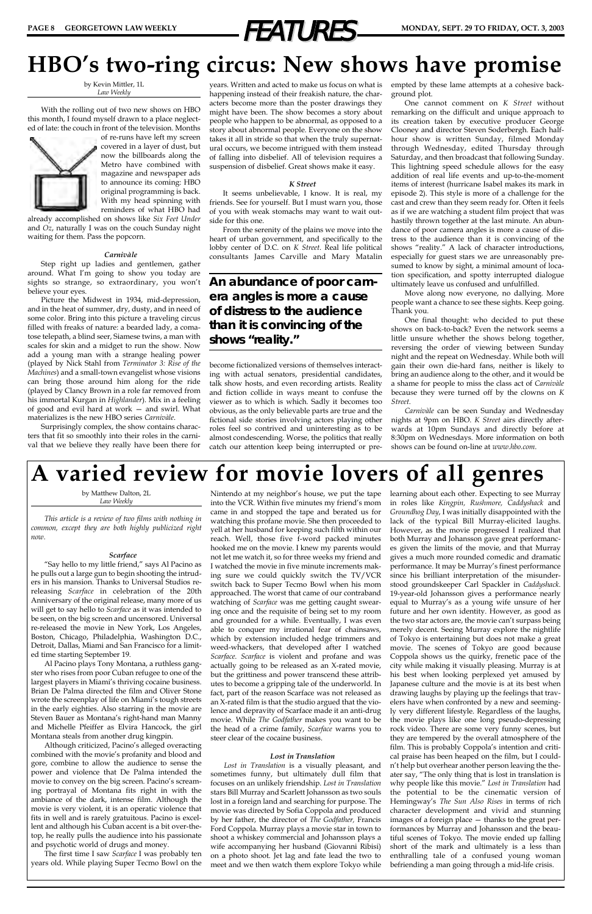

## **HBO's two-ring circus: New shows have promise**

by Kevin Mittler, 1L *Law Weekly*

With the rolling out of two new shows on HBO this month, I found myself drawn to a place neglected of late: the couch in front of the television. Months



of re-runs have left my screen covered in a layer of dust, but now the billboards along the Metro have combined with magazine and newspaper ads to announce its coming: HBO original programming is back. With my head spinning with reminders of what HBO had

already accomplished on shows like *Six Feet Under* and *Oz*, naturally I was on the couch Sunday night waiting for them. Pass the popcorn.

#### *Carnivàle*

Step right up ladies and gentlemen, gather around. What I'm going to show you today are sights so strange, so extraordinary, you won't believe your eyes.

Picture the Midwest in 1934, mid-depression, and in the heat of summer, dry, dusty, and in need of some color. Bring into this picture a traveling circus filled with freaks of nature: a bearded lady, a comatose telepath, a blind seer, Siamese twins, a man with scales for skin and a midget to run the show. Now add a young man with a strange healing power (played by Nick Stahl from *Terminator 3: Rise of the Machines*) and a small-town evangelist whose visions can bring those around him along for the ride (played by Clancy Brown in a role far removed from his immortal Kurgan in *Highlander*). Mix in a feeling of good and evil hard at work — and swirl. What materializes is the new HBO series *Carnivàle*.

Surprisingly complex, the show contains characters that fit so smoothly into their roles in the carnival that we believe they really have been there for years. Written and acted to make us focus on what is happening instead of their freakish nature, the characters become more than the poster drawings they might have been. The show becomes a story about people who happen to be abnormal, as opposed to a story about abnormal people. Everyone on the show takes it all in stride so that when the truly supernatural occurs, we become intrigued with them instead of falling into disbelief. All of television requires a suspension of disbelief. Great shows make it easy.

#### *K Street*

It seems unbelievable, I know. It is real, my friends. See for yourself. But I must warn you, those of you with weak stomachs may want to wait outside for this one.

From the serenity of the plains we move into the heart of urban government, and specifically to the lobby center of D.C. on *K Street*. Real life political consultants James Carville and Mary Matalin

become fictionalized versions of themselves interacting with actual senators, presidential candidates, talk show hosts, and even recording artists. Reality and fiction collide in ways meant to confuse the viewer as to which is which. Sadly it becomes too obvious, as the only believable parts are true and the fictional side stories involving actors playing other roles feel so contrived and uninteresting as to be almost condescending. Worse, the politics that really catch our attention keep being interrupted or preempted by these lame attempts at a cohesive background plot.

One cannot comment on *K Street* without remarking on the difficult and unique approach to its creation taken by executive producer George Clooney and director Steven Soderbergh. Each halfhour show is written Sunday, filmed Monday through Wednesday, edited Thursday through Saturday, and then broadcast that following Sunday. This lightning speed schedule allows for the easy addition of real life events and up-to-the-moment items of interest (hurricane Isabel makes its mark in episode 2). This style is more of a challenge for the cast and crew than they seem ready for. Often it feels as if we are watching a student film project that was hastily thrown together at the last minute. An abundance of poor camera angles is more a cause of distress to the audience than it is convincing of the shows "reality." A lack of character introductions, especially for guest stars we are unreasonably presumed to know by sight, a minimal amount of location specification, and spotty interrupted dialogue ultimately leave us confused and unfulfilled.

Move along now everyone, no dallying. More people want a chance to see these sights. Keep going. Thank you.

One final thought: who decided to put these shows on back-to-back? Even the network seems a little unsure whether the shows belong together, reversing the order of viewing between Sunday night and the repeat on Wednesday. While both will gain their own die-hard fans, neither is likely to bring an audience along to the other, and it would be a shame for people to miss the class act of *Carnivàle* because they were turned off by the clowns on *K Street*.

*Carnivàle* can be seen Sunday and Wednesday nights at 9pm on HBO. *K Street* airs directly afterwards at 10pm Sundays and directly before at 8:30pm on Wednesdays. More information on both shows can be found on-line at *www.hbo.com*.

*An abundance of poor camera angles is more a cause of distress to the audience than it is convincing of the shows "reality."*

# **A varied review for movie lovers of all genres**

by Matthew Dalton, 2L *Law Weekly*

*This article is a review of two films with nothing in common, except they are both highly publicized right now.* 

#### *Scarface*

"Say hello to my little friend," says Al Pacino as he pulls out a large gun to begin shooting the intruders in his mansion. Thanks to Universal Studios rereleasing *Scarface* in celebration of the 20th Anniversary of the original release, many more of us will get to say hello to *Scarface* as it was intended to be seen, on the big screen and uncensored. Universal re-released the movie in New York, Los Angeles, Boston, Chicago, Philadelphia, Washington D.C., Detroit, Dallas, Miami and San Francisco for a limited time starting September 19.

Al Pacino plays Tony Montana, a ruthless gang-

ster who rises from poor Cuban refugee to one of the largest players in Miami's thriving cocaine business. Brian De Palma directed the film and Oliver Stone wrote the screenplay of life on Miami's tough streets in the early eighties. Also starring in the movie are Steven Bauer as Montana's right-hand man Manny and Michelle Pfeiffer as Elvira Hancock, the girl Montana steals from another drug kingpin.

Although criticized, Pacino's alleged overacting combined with the movie's profanity and blood and gore, combine to allow the audience to sense the power and violence that De Palma intended the movie to convey on the big screen. Pacino's screaming portrayal of Montana fits right in with the ambiance of the dark, intense film. Although the movie is very violent, it is an operatic violence that fits in well and is rarely gratuitous. Pacino is excellent and although his Cuban accent is a bit over-thetop, he really pulls the audience into his passionate and psychotic world of drugs and money.

The first time I saw *Scarface* I was probably ten years old. While playing Super Tecmo Bowl on the

Nintendo at my neighbor's house, we put the tape learning about each other. Expecting to see Murray into the VCR. Within five minutes my friend's mom came in and stopped the tape and berated us for watching this profane movie. She then proceeded to yell at her husband for keeping such filth within our reach. Well, those five f-word packed minutes hooked me on the movie. I knew my parents would not let me watch it, so for three weeks my friend and I watched the movie in five minute increments making sure we could quickly switch the TV/VCR switch back to Super Tecmo Bowl when his mom approached. The worst that came of our contraband watching of *Scarface* was me getting caught swearing once and the requisite of being set to my room and grounded for a while. Eventually, I was even able to conquer my irrational fear of chainsaws, which by extension included hedge trimmers and weed-whackers, that developed after I watched *Scarface*. *Scarface* is violent and profane and was actually going to be released as an X-rated movie, but the grittiness and power transcend these attributes to become a gripping tale of the underworld. In fact, part of the reason Scarface was not released as an X-rated film is that the studio argued that the violence and depravity of Scarface made it an anti-drug movie. While *The Godfather* makes you want to be the head of a crime family, *Scarface* warns you to steer clear of the cocaine business.

#### *Lost in Translation*

*Lost in Translation* is a visually pleasant, and sometimes funny, but ultimately dull film that focuses on an unlikely friendship. *Lost in Translation* stars Bill Murray and Scarlett Johansson as two souls lost in a foreign land and searching for purpose. The movie was directed by Sofia Coppola and produced by her father, the director of *The Godfather,* Francis Ford Coppola. Murray plays a movie star in town to shoot a whiskey commercial and Johansson plays a wife accompanying her husband (Giovanni Ribisi) on a photo shoot. Jet lag and fate lead the two to meet and we then watch them explore Tokyo while

in roles like *Kingpin, Rushmore, Caddyshack* and *Groundhog Day*, I was initially disappointed with the lack of the typical Bill Murray-elicited laughs. However, as the movie progressed I realized that both Murray and Johansson gave great performances given the limits of the movie, and that Murray gives a much more rounded comedic and dramatic performance. It may be Murray's finest performance since his brilliant interpretation of the misunderstood groundskeeper Carl Spackler in *Caddyshack*. 19-year-old Johansson gives a performance nearly equal to Murray's as a young wife unsure of her future and her own identity. However, as good as the two star actors are, the movie can't surpass being merely decent. Seeing Murray explore the nightlife of Tokyo is entertaining but does not make a great movie. The scenes of Tokyo are good because Coppola shows us the quirky, frenetic pace of the city while making it visually pleasing. Murray is at his best when looking perplexed yet amused by Japanese culture and the movie is at its best when drawing laughs by playing up the feelings that travelers have when confronted by a new and seemingly very different lifestyle. Regardless of the laughs, the movie plays like one long pseudo-depressing rock video. There are some very funny scenes, but they are tempered by the overall atmosphere of the film. This is probably Coppola's intention and critical praise has been heaped on the film, but I couldn't help but overhear another person leaving the theater say, "The only thing that is lost in translation is why people like this movie." *Lost in Translation* had the potential to be the cinematic version of Hemingway's *The Sun Also Rises* in terms of rich character development and vivid and stunning images of a foreign place — thanks to the great performances by Murray and Johansson and the beautiful scenes of Tokyo. The movie ended up falling short of the mark and ultimately is a less than enthralling tale of a confused young woman befriending a man going through a mid-life crisis.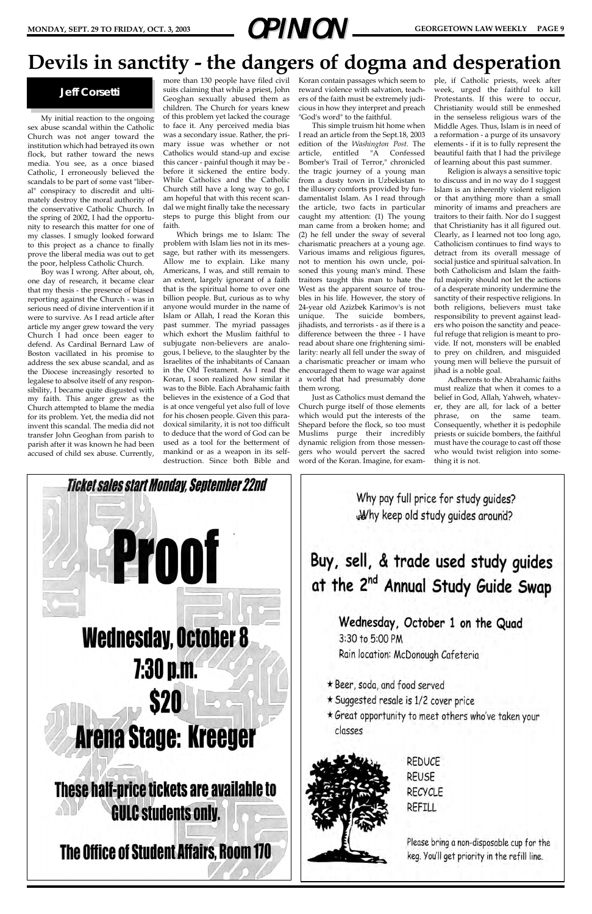My initial reaction to the ongoing sex abuse scandal within the Catholic Church was not anger toward the institution which had betrayed its own flock, but rather toward the news media. You see, as a once biased Catholic, I erroneously believed the scandals to be part of some vast "liberal" conspiracy to discredit and ultimately destroy the moral authority of the conservative Catholic Church. In the spring of 2002, I had the opportunity to research this matter for one of my classes. I smugly looked forward to this project as a chance to finally prove the liberal media was out to get the poor, helpless Catholic Church.

Boy was I wrong. After about, oh, one day of research, it became clear that my thesis - the presence of biased reporting against the Church - was in serious need of divine intervention if it were to survive. As I read article after article my anger grew toward the very Church I had once been eager to defend. As Cardinal Bernard Law of Boston vacillated in his promise to address the sex abuse scandal, and as the Diocese increasingly resorted to legalese to absolve itself of any responsibility, I became quite disgusted with my faith. This anger grew as the Church attempted to blame the media for its problem. Yet, the media did not invent this scandal. The media did not transfer John Geoghan from parish to parish after it was known he had been accused of child sex abuse. Currently,

more than 130 people have filed civil suits claiming that while a priest, John Geoghan sexually abused them as children. The Church for years knew of this problem yet lacked the courage to face it. Any perceived media bias was a secondary issue. Rather, the primary issue was whether or not Catholics would stand-up and excise this cancer - painful though it may be before it sickened the entire body. While Catholics and the Catholic Church still have a long way to go, I am hopeful that with this recent scandal we might finally take the necessary steps to purge this blight from our faith.

Which brings me to Islam: The problem with Islam lies not in its message, but rather with its messengers. Allow me to explain. Like many Americans, I was, and still remain to an extent, largely ignorant of a faith that is the spiritual home to over one billion people. But, curious as to why anyone would murder in the name of Islam or Allah, I read the Koran this past summer. The myriad passages which exhort the Muslim faithful to subjugate non-believers are analogous, I believe, to the slaughter by the Israelites of the inhabitants of Canaan in the Old Testament. As I read the Koran, I soon realized how similar it was to the Bible. Each Abrahamic faith believes in the existence of a God that is at once vengeful yet also full of love for his chosen people. Given this paradoxical similarity, it is not too difficult to deduce that the word of God can be used as a tool for the betterment of mankind or as a weapon in its selfdestruction. Since both Bible and Koran contain passages which seem to reward violence with salvation, teachers of the faith must be extremely judicious in how they interpret and preach "God's word" to the faithful.

This simple truism hit home when I read an article from the Sept.18, 2003 edition of the *Washington Post*. The article, entitled "A Confessed Bomber's Trail of Terror," chronicled the tragic journey of a young man from a dusty town in Uzbekistan to the illusory comforts provided by fundamentalist Islam. As I read through the article, two facts in particular caught my attention: (1) The young man came from a broken home; and (2) he fell under the sway of several charismatic preachers at a young age. Various imams and religious figures, not to mention his own uncle, poisoned this young man's mind. These traitors taught this man to hate the West as the apparent source of troubles in his life. However, the story of 24-year old Azizbek Karimov's is not unique. The suicide bombers, jihadists, and terrorists - as if there is a difference between the three - I have read about share one frightening similarity: nearly all fell under the sway of a charismatic preacher or imam who encouraged them to wage war against a world that had presumably done them wrong.

Just as Catholics must demand the Church purge itself of those elements which would put the interests of the Shepard before the flock, so too must Muslims purge their incredibly dynamic religion from those messengers who would pervert the sacred word of the Koran. Imagine, for example, if Catholic priests, week after week, urged the faithful to kill Protestants. If this were to occur, Christianity would still be enmeshed in the senseless religious wars of the Middle Ages. Thus, Islam is in need of a reformation - a purge of its unsavory elements - if it is to fully represent the beautiful faith that I had the privilege of learning about this past summer.

Religion is always a sensitive topic to discuss and in no way do I suggest Islam is an inherently violent religion or that anything more than a small minority of imams and preachers are traitors to their faith. Nor do I suggest that Christianity has it all figured out. Clearly, as I learned not too long ago, Catholicism continues to find ways to detract from its overall message of social justice and spiritual salvation. In both Catholicism and Islam the faithful majority should not let the actions of a desperate minority undermine the sanctity of their respective religions. In both religions, believers must take responsibility to prevent against leaders who poison the sanctity and peaceful refuge that religion is meant to provide. If not, monsters will be enabled to prey on children, and misguided young men will believe the pursuit of jihad is a noble goal.

Adherents to the Abrahamic faiths must realize that when it comes to a belief in God, Allah, Yahweh, whatever, they are all, for lack of a better phrase, on the same team. Consequently, whether it is pedophile priests or suicide bombers, the faithful must have the courage to cast off those who would twist religion into something it is not.



Why pay full price for study guides? Why keep old study guides around?

## Buy, sell, & trade used study guides at the 2<sup>nd</sup> Annual Study Guide Swap

Wednesday, October 1 on the Quad 3:30 to 5:00 PM Rain location: McDonough Cafeteria

\* Beer, soda, and food served \* Suggested resale is 1/2 cover price \* Great opportunity to meet others who've taken your classes



**REDUCE REUSE RECYCLE REFILL** 

Please bring a non-disposable cup for the keg. You'll get priority in the refill line.

### **Devils in sanctity - the dangers of dogma and desperation**



#### **Jeff Corsetti**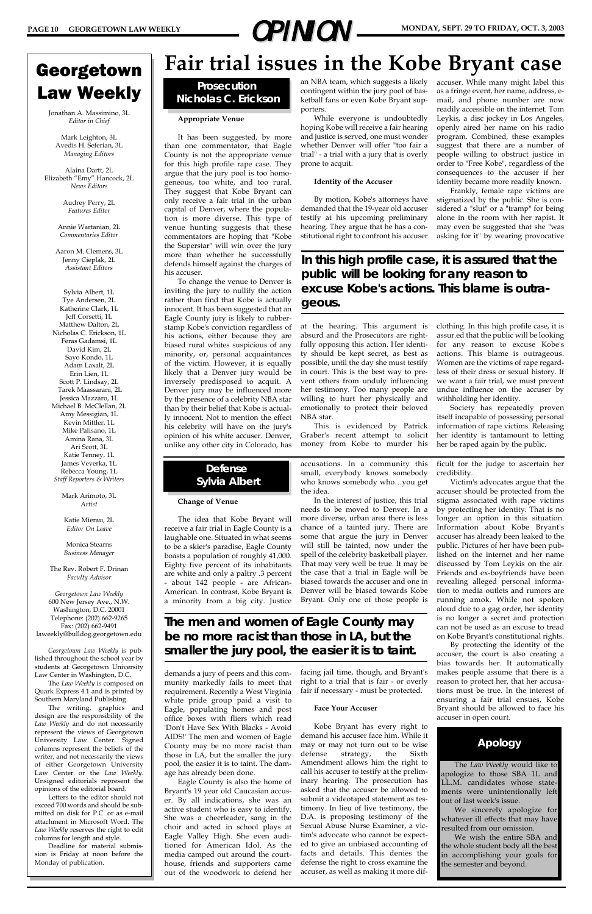# **PAGE 10 GEORGETOWN LAW WEEKLY <b>DPINION** MONDAY, SEPT. 29 TO FRIDAY, OCT. 3, 2003

### Georgetown Law Weekly

Jonathan A. Massimino, 3L *Editor in Chief*

Mark Leighton, 3L Avedis H. Seferian, 3L *Managing Editors*

Alaina Dartt, 2L Elizabeth "Emy" Hancock, 2L *News Editors*

> Audrey Perry, 2L *Features Editor*

Annie Wartanian, 2L *Commentaries Editor*

Aaron M. Clemens, 3L Jenny Cieplak, 2L *Assistant Editors*

Sylvia Albert, 1L Tye Andersen, 2L Katherine Clark, 1L Jeff Corsetti, 1L Matthew Dalton, 2L Nicholas C. Erickson, 1L Feras Gadamsi, 1L David Kim, 2L Sayo Kondo, 1L Adam Laxalt, 2L Erin Lien, 1L Scott P. Lindsay, 2L Tarek Maassarani, 2L Jessica Mazzaro, 1L Michael B. McClellan, 2L Amy Messigian, 1L Kevin Mittler, 1L Mike Palisano, 1L Amina Rana, 3L Ari Scott, 3L Katie Tenney, 1L James Veverka, 1L Rebecca Young, 1L *Staff Reporters & Writers*

> Mark Arimoto, 3L *Artist*

Katie Mierau, 2L *Editor On Leave*

Monica Stearns *Business Manager*

The Rev. Robert F. Drinan *Faculty Advisor*

*Georgetown Law Weekly* 600 New Jersey Ave., N.W. Washington, D.C. 20001 Telephone: (202) 662-9265 Fax: (202) 662-9491 laweekly@bulldog.georgetown.edu

*Georgetown Law Weekly* is published throughout the school year by students at Georgetown University Law Center in Washington, D.C. The *Law Weekly* is composed on Quark Express 4.1 and is printed by Southern Maryland Publishing. The writing, graphics and design are the responsibility of the *Law Weekly* and do not necessarily represent the views of Georgetown University Law Center. Signed columns represent the beliefs of the writer, and not necessarily the views of either Georgetown University Law Center or the *Law Weekly*. Unsigned editorials represent the opinions of the editorial board. Letters to the editor should not exceed 700 words and should be submitted on disk for P.C. or as e-mail attachment in Microsoft Word. The *Law Weekly* reserves the right to edit columns for length and style. Deadline for material submission is Friday at noon before the Monday of publication.

## **Fair trial issues in the Kobe Bryant case**

#### **Appropriate Venue**

It has been suggested, by more than one commentator, that Eagle County is not the appropriate venue for this high profile rape case. They argue that the jury pool is too homogeneous, too white, and too rural. They suggest that Kobe Bryant can only receive a fair trial in the urban capital of Denver, where the population is more diverse. This type of venue hunting suggests that these commentators are hoping that "Kobe the Superstar" will win over the jury more than whether he successfully defends himself against the charges of his accuser.

To change the venue to Denver is inviting the jury to nullify the action rather than find that Kobe is actually innocent. It has been suggested that an Eagle County jury is likely to rubberstamp Kobe's conviction regardless of his actions, either because they are biased rural whites suspicious of any minority, or, personal acquaintances of the victim. However, it is equally likely that a Denver jury would be inversely predisposed to acquit. A Denver jury may be influenced more by the presence of a celebrity NBA star than by their belief that Kobe is actually innocent. Not to mention the effect his celebrity will have on the jury's opinion of his white accuser. Denver, unlike any other city in Colorado, has

an NBA team, which suggests a likely contingent within the jury pool of basketball fans or even Kobe Bryant supporters.

While everyone is undoubtedly hoping Kobe will receive a fair hearing and justice is served, one must wonder whether Denver will offer "too fair a trial" - a trial with a jury that is overly prone to acquit.

#### **Identity of the Accuser**

By motion, Kobe's attorneys have demanded that the 19-year old accuser testify at his upcoming preliminary hearing. They argue that he has a constitutional right to confront his accuser

at the hearing. This argument is absurd and the Prosecutors are rightfully opposing this action. Her identity should be kept secret, as best as possible, until the day she must testify in court. This is the best way to prevent others from unduly influencing her testimony. Too many people are willing to hurt her physically and emotionally to protect their beloved NBA star.

This is evidenced by Patrick Graber's recent attempt to solicit money from Kobe to murder his

accuser. While many might label this as a fringe event, her name, address, email, and phone number are now readily accessible on the internet. Tom Leykis, a disc jockey in Los Angeles, openly aired her name on his radio program. Combined, these examples suggest that there are a number of people willing to obstruct justice in order to "Free Kobe", regardless of the consequences to the accuser if her identity became more readily known.

Frankly, female rape victims are stigmatized by the public. She is considered a "slut" or a "tramp" for being alone in the room with her rapist. It may even be suggested that she "was asking for it" by wearing provocative

clothing. In this high profile case, it is assur.ed that the public will be looking for any reason to excuse Kobe's actions. This blame is outrageous. Women are the victims of rape regardless of their dress or sexual history. If we want a fair trial, we must prevent undue influence on the accuser by withholding her identity.

Society has repeatedly proven itself incapable of possessing personal information of rape victims. Releasing her identity is tantamount to letting her be raped again by the public.

#### **Prosecution Nicholas C. Erickson**

#### **Change of Venue**

The idea that Kobe Bryant will receive a fair trial in Eagle County is a laughable one. Situated in what seems to be a skier's paradise, Eagle County boasts a population of roughly 41,000. Eighty five percent of its inhabitants are white and only a paltry .3 percent - about 142 people - are African-American. In contrast, Kobe Bryant is a minority from a big city. Justice

demands a jury of peers and this community markedly fails to meet that requirement. Recently a West Virginia white pride group paid a visit to Eagle, populating homes and post office boxes with fliers which read 'Don't Have Sex With Blacks - Avoid AIDS!' The men and women of Eagle County may be no more racist than those in LA, but the smaller the jury pool, the easier it is to taint. The damage has already been done. Eagle County is also the home of Bryant's 19 year old Caucasian accuser. By all indications, she was an active student who is easy to identify. She was a cheerleader, sang in the choir and acted in school plays at Eagle Valley High. She even auditioned for American Idol. As the media camped out around the courthouse, friends and supporters came out of the woodwork to defend her

accusations. In a community this small, everybody knows somebody who knows somebody who…you get the idea.

In the interest of justice, this trial needs to be moved to Denver. In a more diverse, urban area there is less chance of a tainted jury. There are some that argue the jury in Denver will still be tainted, now under the spell of the celebrity basketball player. That may very well be true. It may be the case that a trial in Eagle will be biased towards the accuser and one in Denver will be biased towards Kobe Bryant. Only one of those people is

facing jail time, though, and Bryant's right to a trial that is fair - or overly fair if necessary - must be protected.

#### **Face Your Accuser**

Kobe Bryant has every right to demand his accuser face him. While it may or may not turn out to be wise defense strategy, the Sixth Amendment allows him the right to call his accuser to testify at the preliminary hearing. The prosecution has asked that the accuser be allowed to submit a videotaped statement as testimony. In lieu of live testimony, the D.A. is proposing testimony of the Sexual Abuse Nurse Examiner, a victim's advocate who cannot be expected to give an unbiased accounting of facts and details. This denies the defense the right to cross examine the accuser, as well as making it more difficult for the judge to ascertain her credibility.

Victim's advocates argue that the accuser should be protected from the stigma associated with rape victims by protecting her identity. That is no longer an option in this situation. Information about Kobe Bryant's accuser has already been leaked to the public. Pictures of her have been published on the internet and her name discussed by Tom Leykis on the air. Friends and ex-boyfriends have been revealing alleged personal information to media outlets and rumors are running amok. While not spoken aloud due to a gag order, her identity is no longer a secret and protection can not be used as an excuse to tread on Kobe Bryant's constitutional rights.

By protecting the identity of the accuser, the court is also creating a bias towards her. It automatically makes people assume that there is a reason to protect her, that her accusations must be true. In the interest of ensuring a fair trial ensues, Kobe Bryant should be allowed to face his accuser in open court.

### **Defense Sylvia Albert**

*In this high profile case, it is assured that the public will be looking for any reason to excuse Kobe's actions. This blame is outrageous.* 

> The *Law Weekly* would like to apologize to those SBA 1L and LL.M. candidates whose statements were unintentionally left out of last week's issue.

> We sincerely apologize for whatever ill effects that may have resulted from our omission.

> We wish the entire SBA and the whole student body all the best in accomplishing your goals for the semester and beyond.

### **Apology**

*The men and women of Eagle County may be no more racist than those in LA, but the smaller the jury pool, the easier it is to taint.*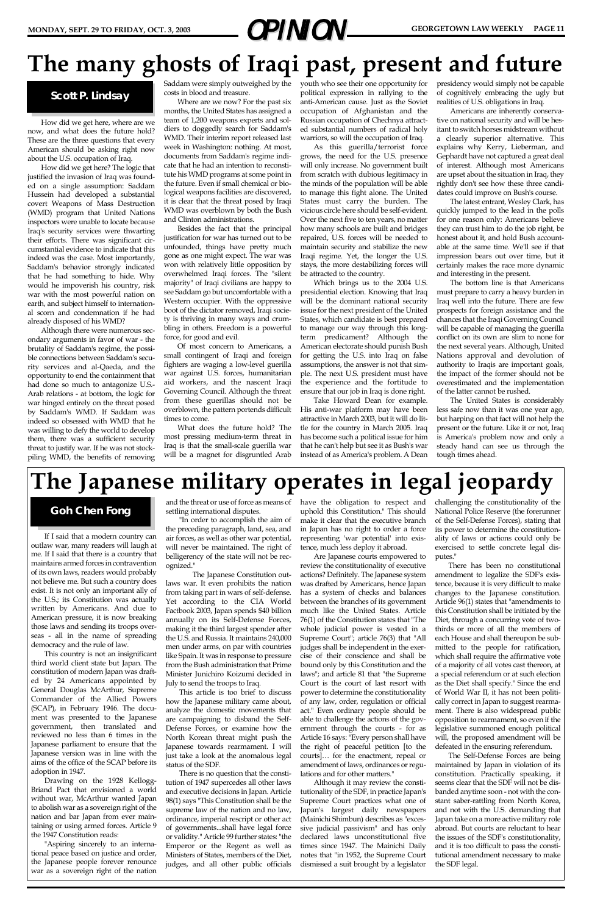# **MONDAY, SEPT. 29 TO FRIDAY, OCT. 3, 2003 GEORGETOWN LAW WEEKLY PAGE 11**

If I said that a modern country can outlaw war, many readers will laugh at me. If I said that there is a country that maintains armed forces in contravention of its own laws, readers would probably not believe me. But such a country does exist. It is not only an important ally of the U.S.; its Constitution was actually written by Americans. And due to American pressure, it is now breaking those laws and sending its troops overseas - all in the name of spreading democracy and the rule of law.

This country is not an insignificant third world client state but Japan. The constitution of modern Japan was drafted by 24 Americans appointed by General Douglas McArthur, Supreme Commander of the Allied Powers (SCAP), in February 1946. The document was presented to the Japanese government, then translated and reviewed no less than 6 times in the Japanese parliament to ensure that the Japanese version was in line with the aims of the office of the SCAP before its adoption in 1947. Drawing on the 1928 Kellogg-Briand Pact that envisioned a world without war, McArthur wanted Japan to abolish war as a sovereign right of the nation and bar Japan from ever maintaining or using armed forces. Article 9 the 1947 Constitution reads: "Aspiring sincerely to an international peace based on justice and order, the Japanese people forever renounce war as a sovereign right of the nation

and the threat or use of force as means of settling international disputes.

"In order to accomplish the aim of the preceding paragraph, land, sea, and air forces, as well as other war potential, will never be maintained. The right of belligerency of the state will not be recognized."

The Japanese Constitution outlaws war. It even prohibits the nation from taking part in wars of self-defense. Yet according to the CIA World Factbook 2003, Japan spends \$40 billion annually on its Self-Defense Forces, making it the third largest spender after the U.S. and Russia. It maintains 240,000 men under arms, on par with countries like Spain. It was in response to pressure from the Bush administration that Prime Minister Junichiro Koizumi decided in July to send the troops to Iraq. This article is too brief to discuss how the Japanese military came about, analyze the domestic movements that are campaigning to disband the Self-Defense Forces, or examine how the North Korean threat might push the Japanese towards rearmament. I will just take a look at the anomalous legal status of the SDF. There is no question that the constitution of 1947 supercedes all other laws and executive decisions in Japan. Article 98(1) says "This Constitution shall be the supreme law of the nation and no law, ordinance, imperial rescript or other act of governments...shall have legal force or validity." Article 99 further states: "the Emperor or the Regent as well as Ministers of States, members of the Diet, judges, and all other public officials

have the obligation to respect and uphold this Constitution." This should make it clear that the executive branch in Japan has no right to order a force representing 'war potential' into existence, much less deploy it abroad.

Are Japanese courts empowered to review the constitutionality of executive actions? Definitely. The Japanese system was drafted by Americans, hence Japan has a system of checks and balances between the branches of its government much like the United States. Article 76(1) of the Constitution states that "The whole judicial power is vested in a Supreme Court"; article 76(3) that "All judges shall be independent in the exercise of their conscience and shall be bound only by this Constitution and the laws"; and article 81 that "the Supreme Court is the court of last resort with power to determine the constitutionality of any law, order, regulation or official act." Even ordinary people should be able to challenge the actions of the government through the courts - for as Article 16 says: "Every person shall have the right of peaceful petition [to the courts]… for the enactment, repeal or amendment of laws, ordinances or regulations and for other matters." Although it may review the constitutionality of the SDF, in practice Japan's Supreme Court practices what one of Japan's largest daily newspapers (Mainichi Shimbun) describes as "excessive judicial passivism" and has only declared laws unconstitutional five times since 1947. The Mainichi Daily notes that "in 1952, the Supreme Court dismissed a suit brought by a legislator challenging the constitutionality of the National Police Reserve (the forerunner of the Self-Defense Forces), stating that its power to determine the constitutionality of laws or actions could only be exercised to settle concrete legal disputes."

Saddam were simply outweighed by the youth who see their one opportunity for political expression in rallying to the anti-American cause. Just as the Soviet occupation of Afghanistan and the Russian occupation of Chechnya attracted substantial numbers of radical holy warriors, so will the occupation of Iraq.

> There has been no constitutional amendment to legalize the SDF's existence, because it is very difficult to make changes to the Japanese constitution. Article 96(1) states that "amendments to this Constitution shall be initiated by the Diet, through a concurring vote of twothirds or more of all the members of each House and shall thereupon be submitted to the people for ratification, which shall require the affirmative vote of a majority of all votes cast thereon, at a special referendum or at such election as the Diet shall specify." Since the end of World War II, it has not been politically correct in Japan to suggest rearmament. There is also widespread public opposition to rearmament, so even if the legislative summoned enough political will, the proposed amendment will be defeated in the ensuring referendum. The Self-Defense Forces are being maintained by Japan in violation of its constitution. Practically speaking, it seems clear that the SDF will not be disbanded anytime soon - not with the constant saber-rattling from North Korea, and not with the U.S. demanding that Japan take on a more active military role abroad. But courts are reluctant to hear the issues of the SDF's constitutionality, and it is too difficult to pass the constitutional amendment necessary to make the SDF legal.

How did we get here, where are we now, and what does the future hold? These are the three questions that every American should be asking right now about the U.S. occupation of Iraq.

How did we get here? The logic that justified the invasion of Iraq was founded on a single assumption: Saddam Hussein had developed a substantial covert Weapons of Mass Destruction (WMD) program that United Nations inspectors were unable to locate because Iraq's security services were thwarting their efforts. There was significant circumstantial evidence to indicate that this indeed was the case. Most importantly, Saddam's behavior strongly indicated that he had something to hide. Why would he impoverish his country, risk war with the most powerful nation on earth, and subject himself to international scorn and condemnation if he had already disposed of his WMD?

Although there were numerous secondary arguments in favor of war - the brutality of Saddam's regime, the possible connections between Saddam's security services and al-Qaeda, and the opportunity to end the containment that had done so much to antagonize U.S.- Arab relations - at bottom, the logic for war hinged entirely on the threat posed by Saddam's WMD. If Saddam was indeed so obsessed with WMD that he was willing to defy the world to develop them, there was a sufficient security threat to justify war. If he was not stockpiling WMD, the benefits of removing

costs in blood and treasure.

Where are we now? For the past six months, the United States has assigned a team of 1,200 weapons experts and soldiers to doggedly search for Saddam's WMD. Their interim report released last week in Washington: nothing. At most, documents from Saddam's regime indicate that he had an intention to reconstitute his WMD programs at some point in the future. Even if small chemical or biological weapons facilities are discovered, it is clear that the threat posed by Iraqi WMD was overblown by both the Bush and Clinton administrations.

Besides the fact that the principal justification for war has turned out to be unfounded, things have pretty much gone as one might expect. The war was won with relatively little opposition by overwhelmed Iraqi forces. The "silent majority" of Iraqi civilians are happy to see Saddam go but uncomfortable with a Western occupier. With the oppressive boot of the dictator removed, Iraqi society is thriving in many ways and crumbling in others. Freedom is a powerful force, for good and evil.

Of most concern to Americans, a small contingent of Iraqi and foreign fighters are waging a low-level guerilla war against U.S. forces, humanitarian aid workers, and the nascent Iraqi Governing Council. Although the threat from these guerillas should not be overblown, the pattern portends difficult times to come.

What does the future hold? The most pressing medium-term threat in Iraq is that the small-scale guerilla war will be a magnet for disgruntled Arab

As this guerilla/terrorist force grows, the need for the U.S. presence will only increase. No government built from scratch with dubious legitimacy in the minds of the population will be able to manage this fight alone. The United States must carry the burden. The vicious circle here should be self-evident. Over the next five to ten years, no matter how many schools are built and bridges repaired, U.S. forces will be needed to maintain security and stabilize the new Iraqi regime. Yet, the longer the U.S. stays, the more destabilizing forces will be attracted to the country.

Which brings us to the 2004 U.S. presidential election. Knowing that Iraq will be the dominant national security issue for the next president of the United States, which candidate is best prepared to manage our way through this longterm predicament? Although the American electorate should punish Bush for getting the U.S. into Iraq on false assumptions, the answer is not that simple. The next U.S. president must have the experience and the fortitude to ensure that our job in Iraq is done right.

Take Howard Dean for example. His anti-war platform may have been attractive in March 2003, but it will do little for the country in March 2005. Iraq has become such a political issue for him that he can't help but see it as Bush's war instead of as America's problem. A Dean presidency would simply not be capable of cognitively embracing the ugly but realities of U.S. obligations in Iraq.

Americans are inherently conservative on national security and will be hesitant to switch horses midstream without a clearly superior alternative. This explains why Kerry, Lieberman, and Gephardt have not captured a great deal of interest. Although most Americans are upset about the situation in Iraq, they rightly don't see how these three candidates could improve on Bush's course.

The latest entrant, Wesley Clark, has quickly jumped to the lead in the polls for one reason only: Americans believe they can trust him to do the job right, be honest about it, and hold Bush accountable at the same time. We'll see if that impression bears out over time, but it certainly makes the race more dynamic and interesting in the present.

The bottom line is that Americans must prepare to carry a heavy burden in Iraq well into the future. There are few prospects for foreign assistance and the chances that the Iraqi Governing Council will be capable of managing the guerilla conflict on its own are slim to none for the next several years. Although, United Nations approval and devolution of authority to Iraqis are important goals, the impact of the former should not be overestimated and the implementation of the latter cannot be rushed.

The United States is considerably less safe now than it was one year ago, but harping on that fact will not help the present or the future. Like it or not, Iraq is America's problem now and only a steady hand can see us through the tough times ahead.

# **The many ghosts of Iraqi past, present and future**

### **Scott P. Lindsay**

#### **Goh Chen Fong**

# **The Japanese military operates in legal jeopardy**